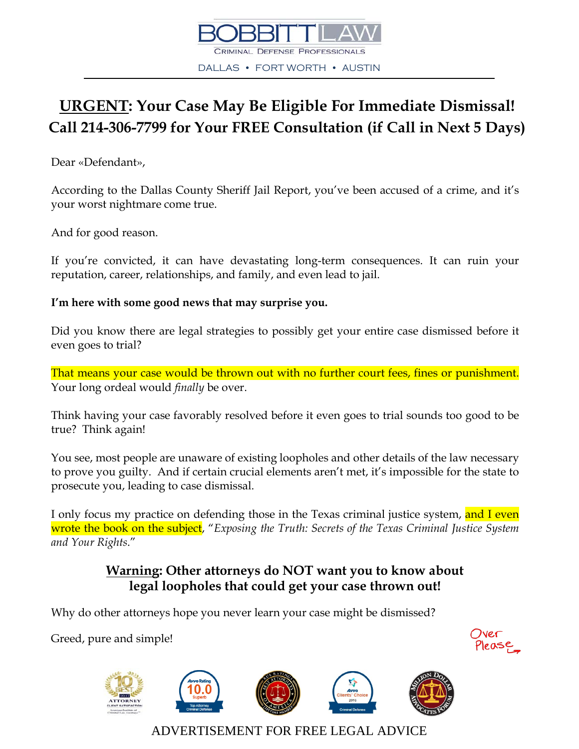

## **URGENT: Your Case May Be Eligible For Immediate Dismissal! Call 214-306-7799 for Your FREE Consultation (if Call in Next 5 Days)**

Dear «Defendant»,

According to the Dallas County Sheriff Jail Report, you've been accused of a crime, and it's your worst nightmare come true.

And for good reason.

If you're convicted, it can have devastating long-term consequences. It can ruin your reputation, career, relationships, and family, and even lead to jail.

#### **I'm here with some good news that may surprise you.**

Did you know there are legal strategies to possibly get your entire case dismissed before it even goes to trial?

That means your case would be thrown out with no further court fees, fines or punishment. Your long ordeal would *finally* be over.

Think having your case favorably resolved before it even goes to trial sounds too good to be true? Think again!

You see, most people are unaware of existing loopholes and other details of the law necessary to prove you guilty. And if certain crucial elements aren't met, it's impossible for the state to prosecute you, leading to case dismissal.

I only focus my practice on defending those in the Texas criminal justice system, and I even wrote the book on the subject, "*Exposing the Truth: Secrets of the Texas Criminal Justice System and Your Rights*."

### **Warning: Other attorneys do NOT want you to know about legal loopholes that could get your case thrown out!**

Why do other attorneys hope you never learn your case might be dismissed?

Greed, pure and simple!









ADVERTISEMENT FOR FREE LEGAL ADVICE



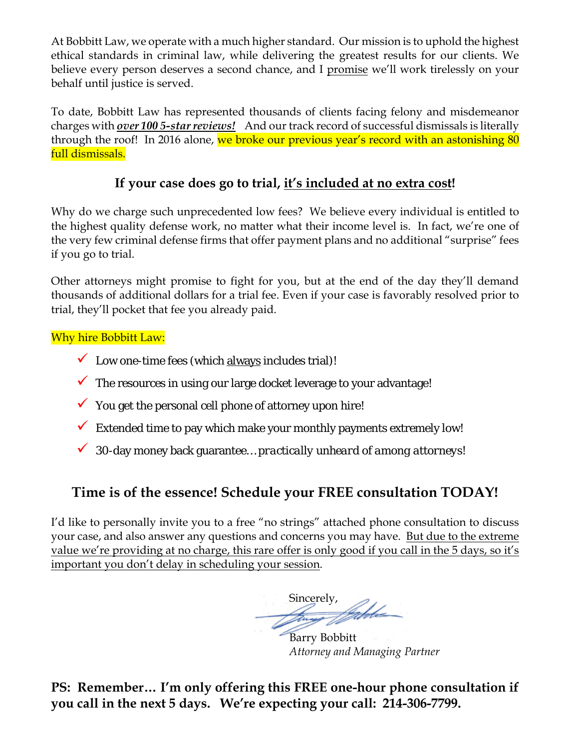At Bobbitt Law, we operate with a much higher standard. Our mission is to uphold the highest ethical standards in criminal law, while delivering the greatest results for our clients. We believe every person deserves a second chance, and I promise we'll work tirelessly on your behalf until justice is served.

To date, Bobbitt Law has represented thousands of clients facing felony and misdemeanor charges with *over 100 5-star reviews!* And our track record of successful dismissals is literally through the roof! In 2016 alone, we broke our previous year's record with an astonishing 80 full dismissals.

### **If your case does go to trial, it's included at no extra cost!**

Why do we charge such unprecedented low fees? We believe every individual is entitled to the highest quality defense work, no matter what their income level is. In fact, we're one of the very few criminal defense firms that offer payment plans and no additional "surprise" fees if you go to trial.

Other attorneys might promise to fight for you, but at the end of the day they'll demand thousands of additional dollars for a trial fee. Even if your case is favorably resolved prior to trial, they'll pocket that fee you already paid.

### Why hire Bobbitt Law:

- $\checkmark$  Low one-time fees (which always includes trial)!
- $\checkmark$  The resources in using our large docket leverage to your advantage!
- $\checkmark$  You get the personal cell phone of attorney upon hire!
- $\checkmark$  Extended time to pay which make your monthly payments extremely low!
- 30-day money back guarantee… *practically unheard of among attorneys*!

### **Time is of the essence! Schedule your FREE consultation TODAY!**

I'd like to personally invite you to a free "no strings" attached phone consultation to discuss your case, and also answer any questions and concerns you may have. But due to the extreme value we're providing at no charge, this rare offer is only good if you call in the 5 days, so it's important you don't delay in scheduling your session.

Sincerely,

Barry Bobbitt *Attorney and Managing Partner*

**PS: Remember… I'm only offering this FREE one-hour phone consultation if you call in the next 5 days. We're expecting your call: 214-306-7799.**